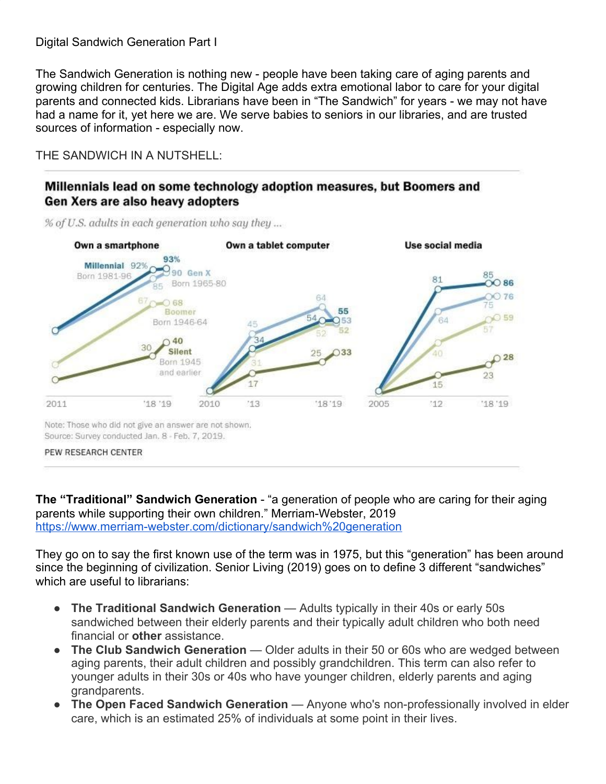## Digital Sandwich Generation Part I

The Sandwich Generation is nothing new - people have been taking care of aging parents and growing children for centuries. The Digital Age adds extra emotional labor to care for your digital parents and connected kids. Librarians have been in "The Sandwich" for years - we may not have had a name for it, yet here we are. We serve babies to seniors in our libraries, and are trusted sources of information - especially now.

THE SANDWICH IN A NUTSHELL:

## Millennials lead on some technology adoption measures, but Boomers and Gen Xers are also heavy adopters

% of U.S. adults in each generation who say they ...



Note: Those who did not give an answer are not shown. Source: Survey conducted Jan. 8 - Feb. 7, 2019.

PEW RESEARCH CENTER

**The "Traditional" Sandwich Generation** - "a generation of people who are caring for their aging parents while supporting their own children." Merriam-Webster, 2019 <https://www.merriam-webster.com/dictionary/sandwich%20generation>

They go on to say the first known use of the term was in 1975, but this "generation" has been around since the beginning of civilization. Senior Living (2019) goes on to define 3 different "sandwiches" which are useful to librarians:

- **The Traditional Sandwich Generation** Adults typically in their 40s or early 50s sandwiched between their elderly parents and their typically adult children who both need financial or **other** assistance.
- **The Club Sandwich Generation** Older adults in their 50 or 60s who are wedged between aging parents, their adult children and possibly grandchildren. This term can also refer to younger adults in their 30s or 40s who have younger children, elderly parents and aging grandparents.
- **The Open Faced Sandwich Generation** Anyone who's non-professionally involved in elder care, which is an estimated 25% of individuals at some point in their lives.